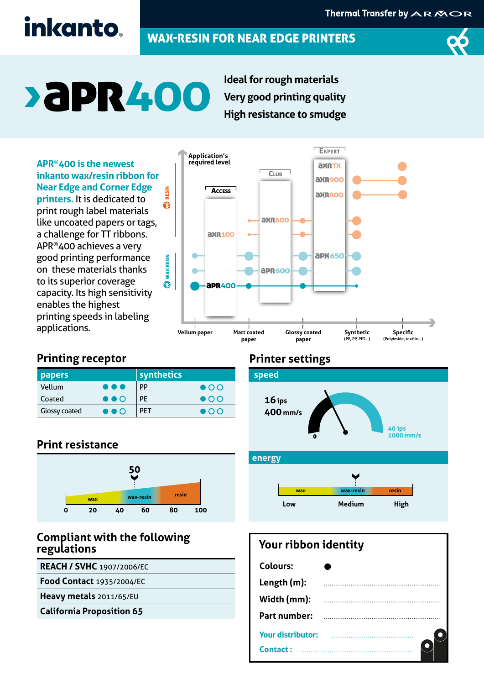## inkanto.

### WAX-RESIN FOR NEAR EDGE PRINTERS



# **>aPR400**

**Ideal for rough materials Very good printing quality High resistance to smudge**

**APR®400 is the newest inkanto wax/resin ribbon for Near Edge and Corner Edge**  RESIN **printers.** It is dedicated to ❀ print rough label materials like uncoated papers or tags, a challenge for TT ribbons. APR®400 achieves a very good printing performance **WAX RESIN** on these materials thanks to its superior coverage  $\ddot{\odot}$ capacity. Its high sensitivity enables the highest printing speeds in labeling



**EXPERT** 

#### **Printing receptor**

applications.

| <b>papers</b>        |                         | synthetics |              |
|----------------------|-------------------------|------------|--------------|
| Vellum               | $\bullet\bullet\bullet$ | <b>PP</b>  | $\bullet$ OO |
| Coated               | $\bullet\bullet\circ$   | РF         | $\bullet$ OO |
| <b>Glossy coated</b> | $\bullet\bullet\circ$   | <b>PFT</b> | $\bullet$ OO |

WAX RESIN

**Application's**

#### **Print resistance**



#### **Compliant with the following regulations**

**REACH / SVHC** 1907/2006/EC

**Food Contact** 1935/2004/EC

**Heavy metals** 2011/65/EU

**California Proposition 65**

#### **Printer settings**



#### **energy**



#### **Your ribbon identity**